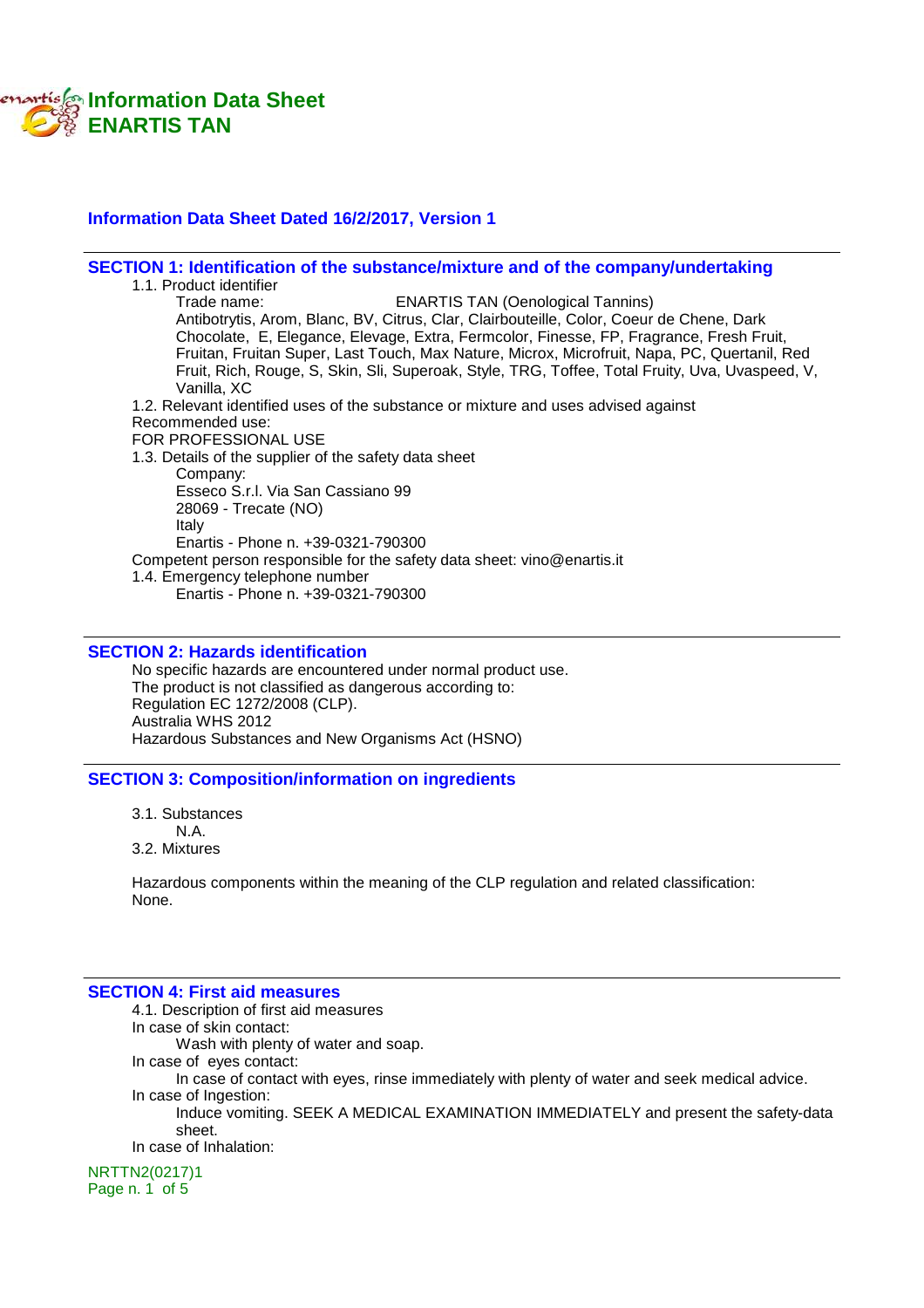

### **Information Data Sheet Dated 16/2/2017, Version 1**

### **SECTION 1: Identification of the substance/mixture and of the company/undertaking**

1.1. Product identifier<br>Trade name: **ENARTIS TAN (Oenological Tannins)** Antibotrytis, Arom, Blanc, BV, Citrus, Clar, Clairbouteille, Color, Coeur de Chene, Dark Chocolate, E, Elegance, Elevage, Extra, Fermcolor, Finesse, FP, Fragrance, Fresh Fruit, Fruitan, Fruitan Super, Last Touch, Max Nature, Microx, Microfruit, Napa, PC, Quertanil, Red Fruit, Rich, Rouge, S, Skin, Sli, Superoak, Style, TRG, Toffee, Total Fruity, Uva, Uvaspeed, V, Vanilla, XC 1.2. Relevant identified uses of the substance or mixture and uses advised against Recommended use: FOR PROFESSIONAL USE 1.3. Details of the supplier of the safety data sheet Company: Esseco S.r.l. Via San Cassiano 99 28069 - Trecate (NO) Italy Enartis - Phone n. +39-0321-790300 Competent person responsible for the safety data sheet: vino@enartis.it 1.4. Emergency telephone number Enartis - Phone n. +39-0321-790300

### **SECTION 2: Hazards identification**

No specific hazards are encountered under normal product use. The product is not classified as dangerous according to: Regulation EC 1272/2008 (CLP). Australia WHS 2012 Hazardous Substances and New Organisms Act (HSNO)

#### **SECTION 3: Composition/information on ingredients**

- 3.1. Substances
- N.A.
- 3.2. Mixtures

Hazardous components within the meaning of the CLP regulation and related classification: None.

#### **SECTION 4: First aid measures**

4.1. Description of first aid measures In case of skin contact: Wash with plenty of water and soap. In case of eyes contact: In case of contact with eyes, rinse immediately with plenty of water and seek medical advice. In case of Ingestion: Induce vomiting. SEEK A MEDICAL EXAMINATION IMMEDIATELY and present the safety-data sheet. In case of Inhalation:

NRTTN2(0217)1 Page n. 1 of 5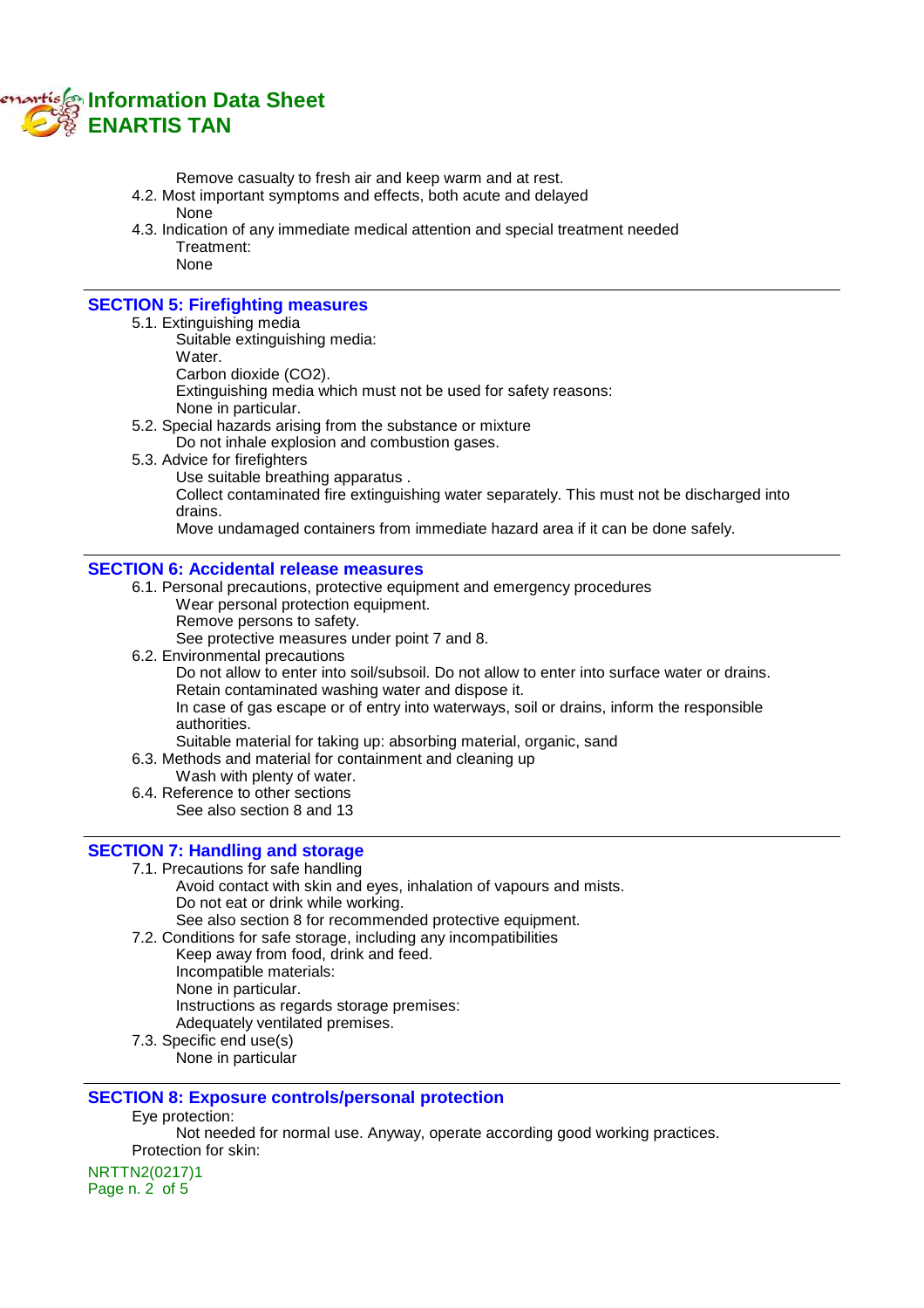

Remove casualty to fresh air and keep warm and at rest.

- 4.2. Most important symptoms and effects, both acute and delayed None
- 4.3. Indication of any immediate medical attention and special treatment needed Treatment: None

### **SECTION 5: Firefighting measures**

- 5.1. Extinguishing media
	- Suitable extinguishing media:
	- Water. Carbon dioxide (CO2).

Extinguishing media which must not be used for safety reasons:

- None in particular.
- 5.2. Special hazards arising from the substance or mixture
	- Do not inhale explosion and combustion gases.
- 5.3. Advice for firefighters
	- Use suitable breathing apparatus .

Collect contaminated fire extinguishing water separately. This must not be discharged into drains.

Move undamaged containers from immediate hazard area if it can be done safely.

### **SECTION 6: Accidental release measures**

- 6.1. Personal precautions, protective equipment and emergency procedures Wear personal protection equipment.
	- Remove persons to safety.

See protective measures under point 7 and 8.

6.2. Environmental precautions

Do not allow to enter into soil/subsoil. Do not allow to enter into surface water or drains. Retain contaminated washing water and dispose it.

In case of gas escape or of entry into waterways, soil or drains, inform the responsible authorities.

Suitable material for taking up: absorbing material, organic, sand

6.3. Methods and material for containment and cleaning up

- Wash with plenty of water.
- 6.4. Reference to other sections See also section 8 and 13

### **SECTION 7: Handling and storage**

- 7.1. Precautions for safe handling
	- Avoid contact with skin and eyes, inhalation of vapours and mists. Do not eat or drink while working. See also section 8 for recommended protective equipment.
	-
- 7.2. Conditions for safe storage, including any incompatibilities Keep away from food, drink and feed. Incompatible materials: None in particular.
	- Instructions as regards storage premises:
	- Adequately ventilated premises.
- 7.3. Specific end use(s)
	- None in particular

### **SECTION 8: Exposure controls/personal protection**

Eye protection:

Not needed for normal use. Anyway, operate according good working practices. Protection for skin:

NRTTN2(0217)1 Page n. 2 of 5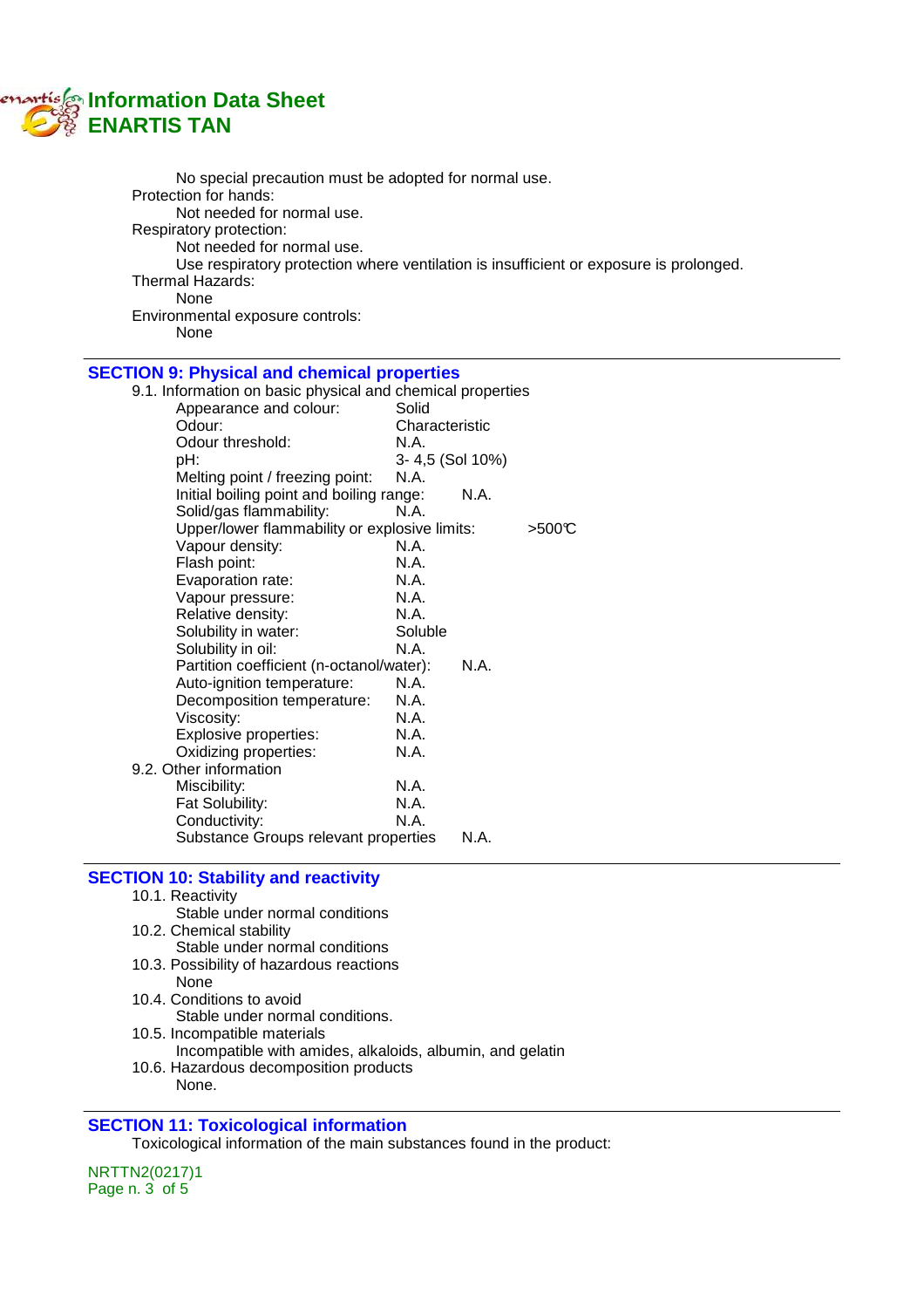# **Information Data Sheet ENARTIS TAN**

| No special precaution must be adopted for normal use.<br>Protection for hands:<br>Not needed for normal use.<br>Respiratory protection:<br>Not needed for normal use.<br>Thermal Hazards:<br>None<br>Environmental exposure controls:<br>None |                 |      | Use respiratory protection where ventilation is insufficient or exposure is prolonged. |
|-----------------------------------------------------------------------------------------------------------------------------------------------------------------------------------------------------------------------------------------------|-----------------|------|----------------------------------------------------------------------------------------|
| <b>SECTION 9: Physical and chemical properties</b>                                                                                                                                                                                            |                 |      |                                                                                        |
| 9.1. Information on basic physical and chemical properties                                                                                                                                                                                    |                 |      |                                                                                        |
| Appearance and colour:                                                                                                                                                                                                                        | Solid           |      |                                                                                        |
| Odour:                                                                                                                                                                                                                                        | Characteristic  |      |                                                                                        |
| Odour threshold:                                                                                                                                                                                                                              | N.A.            |      |                                                                                        |
| pH:                                                                                                                                                                                                                                           | 3-4,5 (Sol 10%) |      |                                                                                        |
| Melting point / freezing point:                                                                                                                                                                                                               | N.A.            |      |                                                                                        |
| Initial boiling point and boiling range:                                                                                                                                                                                                      |                 | N.A. |                                                                                        |
| Solid/gas flammability:                                                                                                                                                                                                                       | N.A.            |      |                                                                                        |
| Upper/lower flammability or explosive limits:                                                                                                                                                                                                 |                 |      | >500C                                                                                  |
| Vapour density:                                                                                                                                                                                                                               | N.A.            |      |                                                                                        |
| Flash point:                                                                                                                                                                                                                                  | N.A.            |      |                                                                                        |
| Evaporation rate:                                                                                                                                                                                                                             | N.A.            |      |                                                                                        |
| Vapour pressure:                                                                                                                                                                                                                              | N.A.            |      |                                                                                        |
| Relative density:                                                                                                                                                                                                                             | N.A.            |      |                                                                                        |
| Solubility in water:                                                                                                                                                                                                                          | Soluble         |      |                                                                                        |
| Solubility in oil:                                                                                                                                                                                                                            | N.A.            |      |                                                                                        |
| Partition coefficient (n-octanol/water):                                                                                                                                                                                                      |                 | N.A. |                                                                                        |
| Auto-ignition temperature:                                                                                                                                                                                                                    | N.A.            |      |                                                                                        |
| Decomposition temperature:                                                                                                                                                                                                                    | N.A.            |      |                                                                                        |
| Viscosity:                                                                                                                                                                                                                                    | N.A.            |      |                                                                                        |
| Explosive properties:                                                                                                                                                                                                                         | N.A.            |      |                                                                                        |
| Oxidizing properties:                                                                                                                                                                                                                         | N.A.            |      |                                                                                        |
| 9.2. Other information                                                                                                                                                                                                                        |                 |      |                                                                                        |
| Miscibility:                                                                                                                                                                                                                                  | N.A.            |      |                                                                                        |
| Fat Solubility:                                                                                                                                                                                                                               | N.A.            |      |                                                                                        |
| Conductivity:                                                                                                                                                                                                                                 | N.A.            |      |                                                                                        |
| Substance Groups relevant properties                                                                                                                                                                                                          |                 | N.A. |                                                                                        |
|                                                                                                                                                                                                                                               |                 |      |                                                                                        |
| <b>SECTION 10: Stability and reactivity</b>                                                                                                                                                                                                   |                 |      |                                                                                        |
| 10.1. Reactivity                                                                                                                                                                                                                              |                 |      |                                                                                        |
| Stable under normal conditions                                                                                                                                                                                                                |                 |      |                                                                                        |
| 10.2. Chemical stability                                                                                                                                                                                                                      |                 |      |                                                                                        |
| Stable under normal conditions                                                                                                                                                                                                                |                 |      |                                                                                        |
| 10.3. Possibility of hazardous reactions                                                                                                                                                                                                      |                 |      |                                                                                        |
| None                                                                                                                                                                                                                                          |                 |      |                                                                                        |
| 10.4. Conditions to avoid                                                                                                                                                                                                                     |                 |      |                                                                                        |
| Stable under normal conditions.                                                                                                                                                                                                               |                 |      |                                                                                        |
|                                                                                                                                                                                                                                               |                 |      |                                                                                        |

- 10.5. Incompatible materials
	- Incompatible with amides, alkaloids, albumin, and gelatin
- 10.6. Hazardous decomposition products None.

# **SECTION 11: Toxicological information**

Toxicological information of the main substances found in the product:

NRTTN2(0217)1 Page n. 3 of 5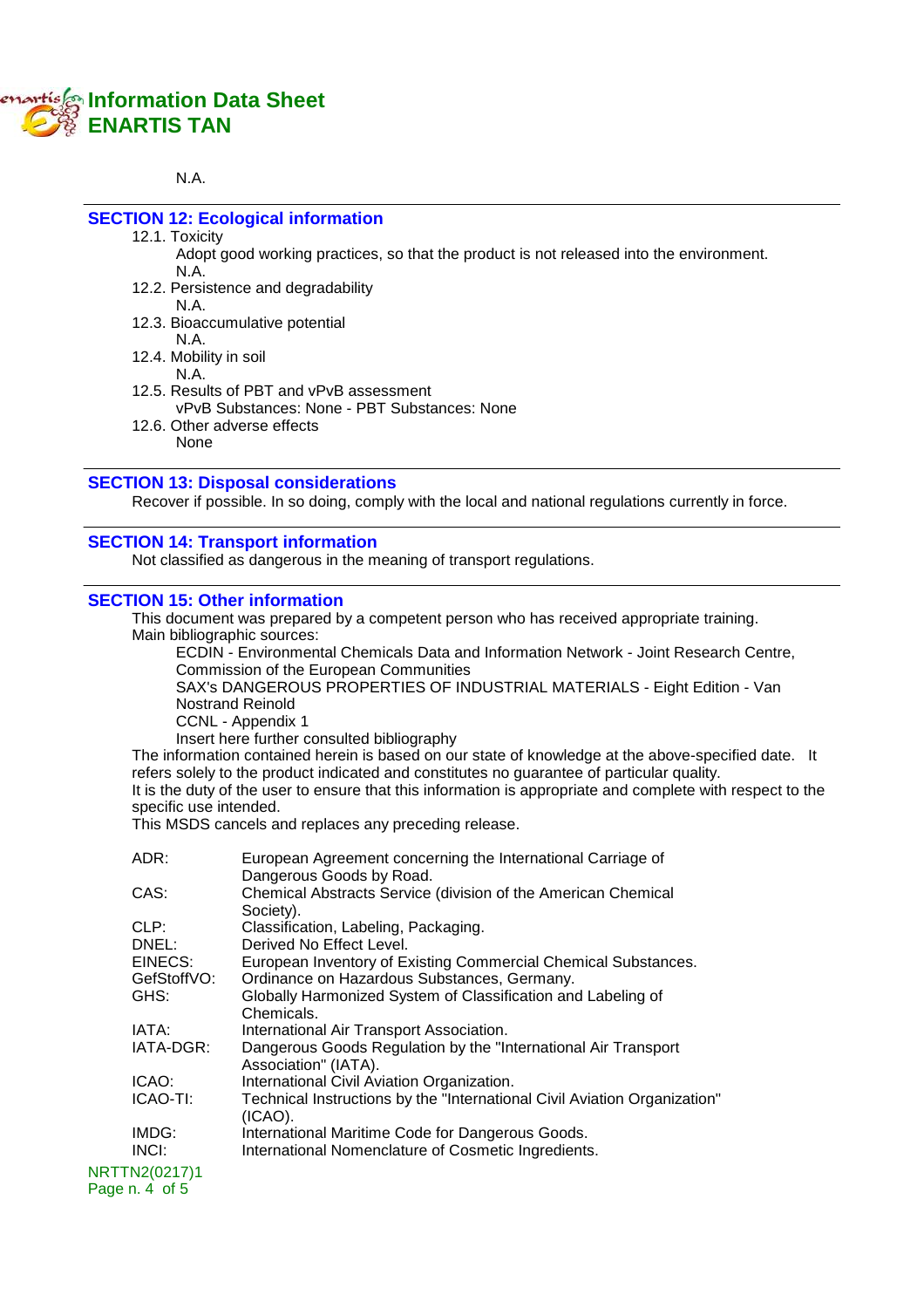# **Information Data Sheet ENARTIS TAN**

#### N.A.

# **SECTION 12: Ecological information**

12.1. Toxicity

Adopt good working practices, so that the product is not released into the environment. N.A.

- 12.2. Persistence and degradability N.A.
- 12.3. Bioaccumulative potential
	- N.A.
- 12.4. Mobility in soil
	- N.A.
- 12.5. Results of PBT and vPvB assessment
	- vPvB Substances: None PBT Substances: None
- 12.6. Other adverse effects None

# **SECTION 13: Disposal considerations**

Recover if possible. In so doing, comply with the local and national regulations currently in force.

### **SECTION 14: Transport information**

Not classified as dangerous in the meaning of transport regulations.

### **SECTION 15: Other information**

This document was prepared by a competent person who has received appropriate training. Main bibliographic sources:

ECDIN - Environmental Chemicals Data and Information Network - Joint Research Centre, Commission of the European Communities

SAX's DANGEROUS PROPERTIES OF INDUSTRIAL MATERIALS - Eight Edition - Van Nostrand Reinold

CCNL - Appendix 1

Insert here further consulted bibliography

The information contained herein is based on our state of knowledge at the above-specified date. It refers solely to the product indicated and constitutes no guarantee of particular quality. It is the duty of the user to ensure that this information is appropriate and complete with respect to the specific use intended.

This MSDS cancels and replaces any preceding release.

| ADR:           | European Agreement concerning the International Carriage of<br>Dangerous Goods by Road. |
|----------------|-----------------------------------------------------------------------------------------|
| CAS:           | Chemical Abstracts Service (division of the American Chemical<br>Society).              |
| CLP:           | Classification, Labeling, Packaging.                                                    |
| DNEL:          | Derived No Effect Level.                                                                |
| EINECS:        | European Inventory of Existing Commercial Chemical Substances.                          |
| GefStoffVO:    | Ordinance on Hazardous Substances, Germany.                                             |
| GHS:           | Globally Harmonized System of Classification and Labeling of<br>Chemicals.              |
| IATA:          | International Air Transport Association.                                                |
| IATA-DGR:      | Dangerous Goods Regulation by the "International Air Transport"<br>Association" (IATA). |
| ICAO:          | International Civil Aviation Organization.                                              |
| ICAO-TI:       | Technical Instructions by the "International Civil Aviation Organization"<br>(ICAO).    |
| IMDG:          | International Maritime Code for Dangerous Goods.                                        |
| $INC$ $:$      | International Nomenclature of Cosmetic Ingredients.                                     |
| NRTTN2(0217)1  |                                                                                         |
| Page n. 4 of 5 |                                                                                         |